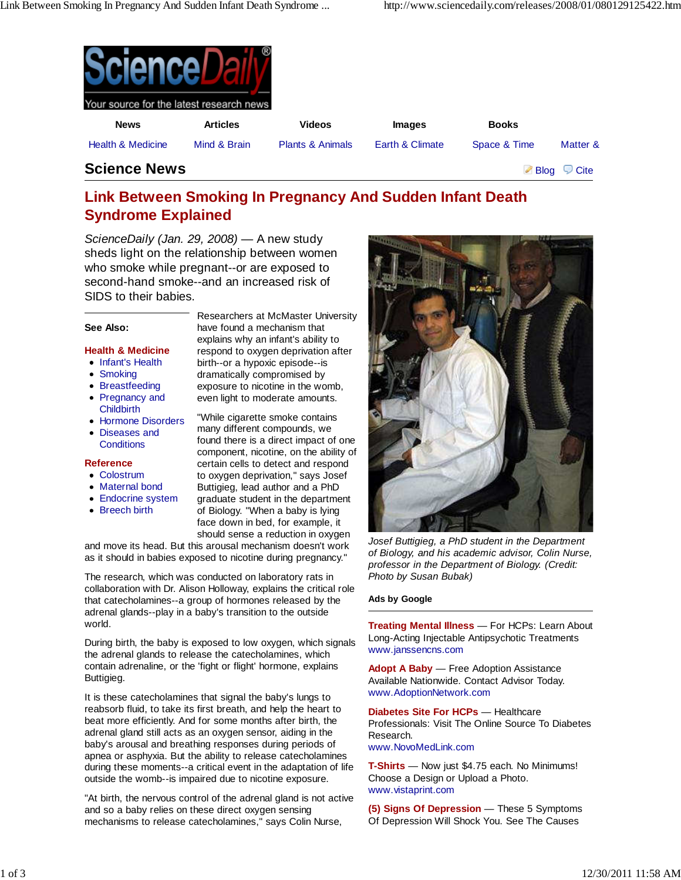| Q<br>Your source for the latest research news |                 |                             |                 |              |          |
|-----------------------------------------------|-----------------|-----------------------------|-----------------|--------------|----------|
| <b>News</b>                                   | <b>Articles</b> | <b>Videos</b>               | <b>Images</b>   | <b>Books</b> |          |
| <b>Health &amp; Medicine</b>                  | Mind & Brain    | <b>Plants &amp; Animals</b> | Earth & Climate | Space & Time | Matter & |
| . .<br>$\bullet$                              |                 |                             |                 |              |          |

# **Science News** Blog Cite

**Link Between Smoking In Pregnancy And Sudden Infant Death Syndrome Explained**

ScienceDaily (Jan. 29, 2008) — A new study sheds light on the relationship between women who smoke while pregnant--or are exposed to second-hand smoke--and an increased risk of SIDS to their babies.

# **See Also:**

# **Health & Medicine**

- Infant's Health
- Smoking
- Breastfeeding
- Pregnancy and
- **Childbirth**
- Hormone Disorders
- Diseases and **Conditions**

#### **Reference**

- Colostrum
- Maternal bond
- Endocrine system
- Breech birth

Researchers at McMaster University have found a mechanism that explains why an infant's ability to respond to oxygen deprivation after birth--or a hypoxic episode--is dramatically compromised by exposure to nicotine in the womb, even light to moderate amounts.

"While cigarette smoke contains many different compounds, we found there is a direct impact of one component, nicotine, on the ability of certain cells to detect and respond to oxygen deprivation," says Josef Buttigieg, lead author and a PhD graduate student in the department of Biology. "When a baby is lying face down in bed, for example, it should sense a reduction in oxygen

and move its head. But this arousal mechanism doesn't work as it should in babies exposed to nicotine during pregnancy."

The research, which was conducted on laboratory rats in collaboration with Dr. Alison Holloway, explains the critical role that catecholamines--a group of hormones released by the adrenal glands--play in a baby's transition to the outside world.

During birth, the baby is exposed to low oxygen, which signals the adrenal glands to release the catecholamines, which contain adrenaline, or the 'fight or flight' hormone, explains Buttigieg.

It is these catecholamines that signal the baby's lungs to reabsorb fluid, to take its first breath, and help the heart to beat more efficiently. And for some months after birth, the adrenal gland still acts as an oxygen sensor, aiding in the baby's arousal and breathing responses during periods of apnea or asphyxia. But the ability to release catecholamines during these moments--a critical event in the adaptation of life outside the womb--is impaired due to nicotine exposure.

"At birth, the nervous control of the adrenal gland is not active and so a baby relies on these direct oxygen sensing mechanisms to release catecholamines," says Colin Nurse,



Josef Buttigieg, a PhD student in the Department of Biology, and his academic advisor, Colin Nurse, professor in the Department of Biology. (Credit: Photo by Susan Bubak)

#### **Ads by Google**

**Treating Mental Illness** — For HCPs: Learn About Long-Acting Injectable Antipsychotic Treatments www.janssencns.com

**Adopt A Baby** — Free Adoption Assistance Available Nationwide. Contact Advisor Today. www.AdoptionNetwork.com

**Diabetes Site For HCPs** — Healthcare Professionals: Visit The Online Source To Diabetes Research. www.NovoMedLink.com

**T-Shirts** — Now just \$4.75 each. No Minimums! Choose a Design or Upload a Photo. www.vistaprint.com

**(5) Signs Of Depression** — These 5 Symptoms Of Depression Will Shock You. See The Causes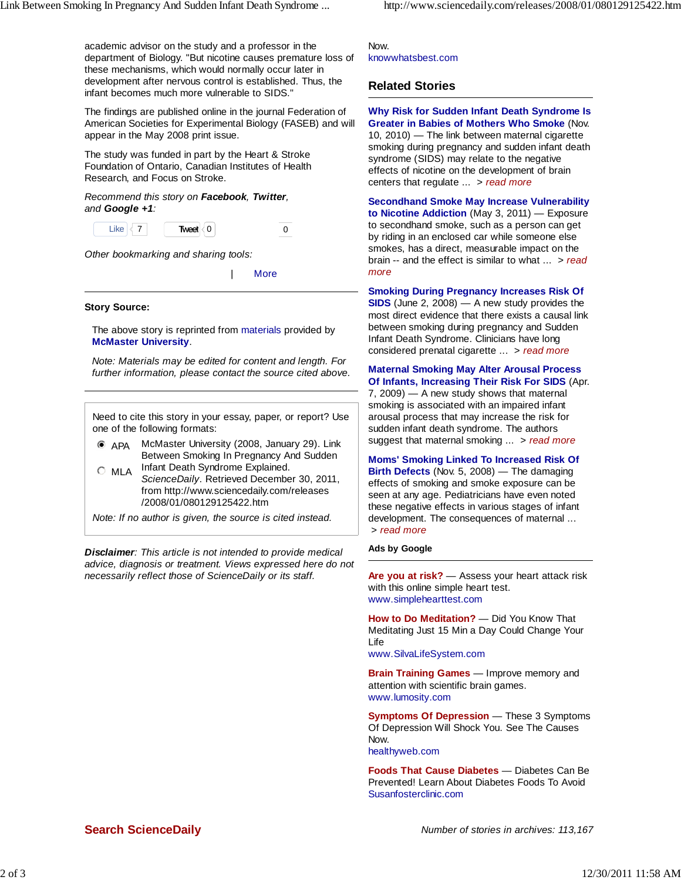academic advisor on the study and a professor in the department of Biology. "But nicotine causes premature loss of these mechanisms, which would normally occur later in development after nervous control is established. Thus, the infant becomes much more vulnerable to SIDS."

The findings are published online in the journal Federation of American Societies for Experimental Biology (FASEB) and will appear in the May 2008 print issue.

The study was funded in part by the Heart & Stroke Foundation of Ontario, Canadian Institutes of Health Research, and Focus on Stroke.

Recommend this story on **Facebook**, **Twitter**, and **Google +1**:

Like  $\leq 7$  **Tweet**  $\leq 0$  0 0

Other bookmarking and sharing tools:

| More

### **Story Source:**

The above story is reprinted from materials provided by **McMaster University**.

Note: Materials may be edited for content and length. For further information, please contact the source cited above.

Need to cite this story in your essay, paper, or report? Use one of the following formats:

 APA McMaster University (2008, January 29). Link Between Smoking In Pregnancy And Sudden

 $\circ$  MLA Infant Death Syndrome Explained. ScienceDaily. Retrieved December 30, 2011, from http://www.sciencedaily.com/releases /2008/01/080129125422.htm

Note: If no author is given, the source is cited instead.

**Disclaimer**: This article is not intended to provide medical advice, diagnosis or treatment. Views expressed here do not necessarily reflect those of ScienceDaily or its staff.

Now. knowwhatsbest.com

# **Related Stories**

**Why Risk for Sudden Infant Death Syndrome Is Greater in Babies of Mothers Who Smoke** (Nov. 10, 2010) — The link between maternal cigarette smoking during pregnancy and sudden infant death syndrome (SIDS) may relate to the negative effects of nicotine on the development of brain centers that regulate  $\ldots$  > read more

**Secondhand Smoke May Increase Vulnerability to Nicotine Addiction** (May 3, 2011) — Exposure to secondhand smoke, such as a person can get by riding in an enclosed car while someone else smokes, has a direct, measurable impact on the brain -- and the effect is similar to what  $\ldots$  > read more

**Smoking During Pregnancy Increases Risk Of**

**SIDS** (June 2, 2008) — A new study provides the most direct evidence that there exists a causal link between smoking during pregnancy and Sudden Infant Death Syndrome. Clinicians have long considered prenatal cigarette ... > read more

**Maternal Smoking May Alter Arousal Process Of Infants, Increasing Their Risk For SIDS** (Apr.

7, 2009) — A new study shows that maternal smoking is associated with an impaired infant arousal process that may increase the risk for sudden infant death syndrome. The authors suggest that maternal smoking ... > read more

**Moms' Smoking Linked To Increased Risk Of Birth Defects** (Nov. 5, 2008) — The damaging effects of smoking and smoke exposure can be seen at any age. Pediatricians have even noted these negative effects in various stages of infant development. The consequences of maternal ... > read more

# **Ads by Google**

**Are you at risk?** — Assess your heart attack risk with this online simple heart test. www.simplehearttest.com

**How to Do Meditation?** — Did You Know That Meditating Just 15 Min a Day Could Change Your Life

www.SilvaLifeSystem.com

**Brain Training Games** — Improve memory and attention with scientific brain games. www.lumosity.com

**Symptoms Of Depression** — These 3 Symptoms Of Depression Will Shock You. See The Causes Now. healthyweb.com

**Foods That Cause Diabetes** — Diabetes Can Be Prevented! Learn About Diabetes Foods To Avoid Susanfosterclinic.com